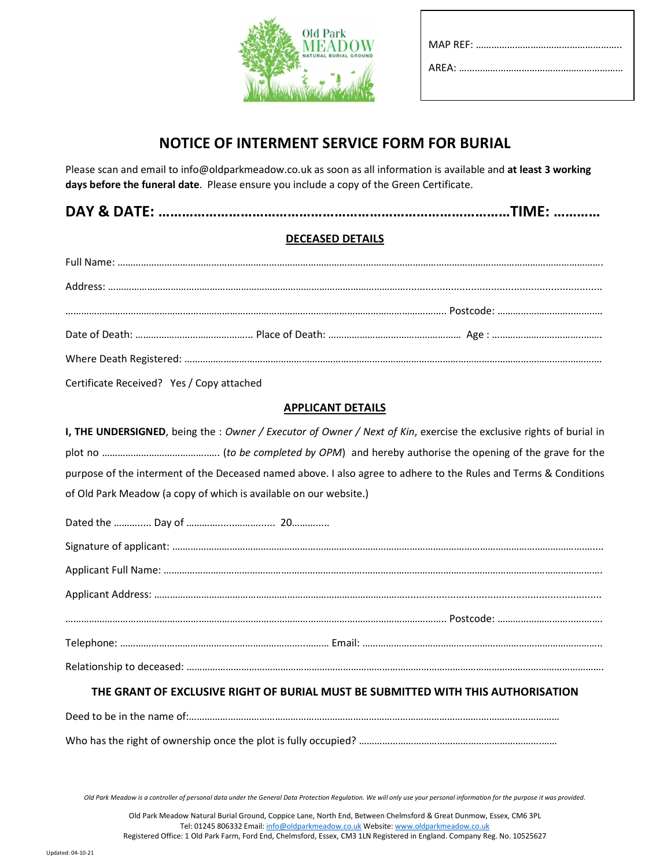

# NOTICE OF INTERMENT SERVICE FORM FOR BURIAL

Please scan and email to info@oldparkmeadow.co.uk as soon as all information is available and at least 3 working days before the funeral date. Please ensure you include a copy of the Green Certificate.

|  | <b>DAY &amp; DATE</b><br>Y & DATE: ……………………………………………………………………………TIME: ………… |
|--|----------------------------------------------------------------------------|
|--|----------------------------------------------------------------------------|

## DECEASED DETAILS

Certificate Received? Yes / Copy attached

## APPLICANT DETAILS

| I, THE UNDERSIGNED, being the : Owner / Executor of Owner / Next of Kin, exercise the exclusive rights of burial in |
|---------------------------------------------------------------------------------------------------------------------|
|                                                                                                                     |
| purpose of the interment of the Deceased named above. I also agree to adhere to the Rules and Terms & Conditions    |
| of Old Park Meadow (a copy of which is available on our website.)                                                   |
|                                                                                                                     |
|                                                                                                                     |
|                                                                                                                     |
|                                                                                                                     |
|                                                                                                                     |
|                                                                                                                     |
|                                                                                                                     |
| THE CRANT OF FVALUATE BLAUF OF BURLAL ASSAT BE CURAITED WITH THIS AUTHORICATION                                     |

## THE GRANT OF EXCLUSIVE RIGHT OF BURIAL MUST BE SUBMITTED WITH THIS AUTHORISATION

| Deed to be in the name of                                       |  |
|-----------------------------------------------------------------|--|
| Who has the right of ownership once the plot is fully occupied? |  |

Old Park Meadow is a controller of personal data under the General Data Protection Regulation. We will only use your personal information for the purpose it was provided.